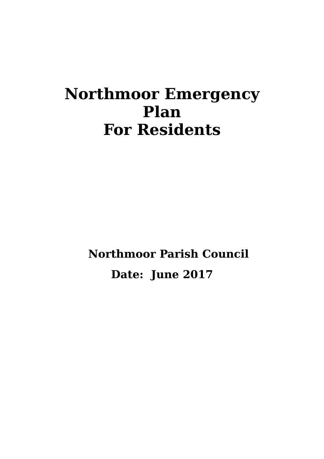# **Northmoor Emergency Plan For Residents**

**Northmoor Parish Council Date: June 2017**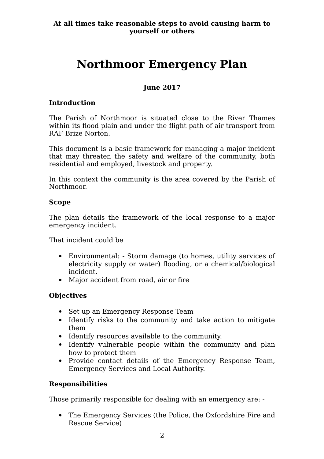# **Northmoor Emergency Plan**

# **June 2017**

## **Introduction**

The Parish of Northmoor is situated close to the River Thames within its flood plain and under the flight path of air transport from RAF Brize Norton.

This document is a basic framework for managing a major incident that may threaten the safety and welfare of the community, both residential and employed, livestock and property.

In this context the community is the area covered by the Parish of Northmoor.

#### **Scope**

The plan details the framework of the local response to a major emergency incident.

That incident could be

- Environmental: Storm damage (to homes, utility services of electricity supply or water) flooding, or a chemical/biological incident.
- Major accident from road, air or fire

# **Objectives**

- Set up an Emergency Response Team
- Identify risks to the community and take action to mitigate them
- Identify resources available to the community.
- Identify vulnerable people within the community and plan how to protect them
- Provide contact details of the Emergency Response Team, Emergency Services and Local Authority.

#### **Responsibilities**

Those primarily responsible for dealing with an emergency are: -

 The Emergency Services (the Police, the Oxfordshire Fire and Rescue Service)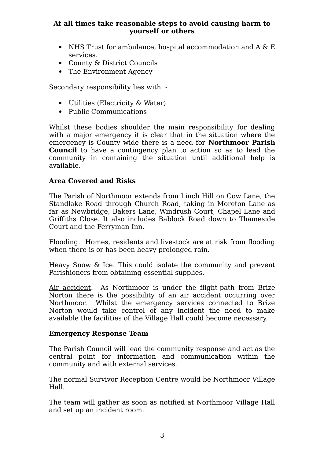- NHS Trust for ambulance, hospital accommodation and  $A \& E$ services.
- County & District Councils
- The Environment Agency

Secondary responsibility lies with: -

- Utilities (Electricity & Water)
- Public Communications

Whilst these bodies shoulder the main responsibility for dealing with a major emergency it is clear that in the situation where the emergency is County wide there is a need for **Northmoor Parish Council** to have a contingency plan to action so as to lead the community in containing the situation until additional help is available.

### **Area Covered and Risks**

The Parish of Northmoor extends from Linch Hill on Cow Lane, the Standlake Road through Church Road, taking in Moreton Lane as far as Newbridge, Bakers Lane, Windrush Court, Chapel Lane and Griffiths Close. It also includes Bablock Road down to Thameside Court and the Ferryman Inn.

Flooding. Homes, residents and livestock are at risk from flooding when there is or has been heavy prolonged rain.

Heavy Snow & Ice. This could isolate the community and prevent Parishioners from obtaining essential supplies.

Air accident. As Northmoor is under the flight-path from Brize Norton there is the possibility of an air accident occurring over Northmoor. Whilst the emergency services connected to Brize Norton would take control of any incident the need to make available the facilities of the Village Hall could become necessary.

#### **Emergency Response Team**

The Parish Council will lead the community response and act as the central point for information and communication within the community and with external services.

The normal Survivor Reception Centre would be Northmoor Village Hall.

The team will gather as soon as notified at Northmoor Village Hall and set up an incident room.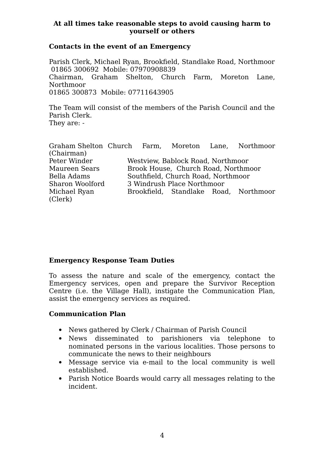#### **Contacts in the event of an Emergency**

Parish Clerk, Michael Ryan, Brookfield, Standlake Road, Northmoor 01865 300692 Mobile: 07970908839 Chairman, Graham Shelton, Church Farm, Moreton Lane, Northmoor 01865 300873 Mobile: 07711643905

The Team will consist of the members of the Parish Council and the Parish Clerk. They are: -

| Graham Shelton Church Farm, Moreton Lane, Northmoor |                                     |                            |  |  |                                       |  |
|-----------------------------------------------------|-------------------------------------|----------------------------|--|--|---------------------------------------|--|
| (Chairman)                                          |                                     |                            |  |  |                                       |  |
| Peter Winder                                        | Westview, Bablock Road, Northmoor   |                            |  |  |                                       |  |
| Maureen Sears                                       | Brook House, Church Road, Northmoor |                            |  |  |                                       |  |
| Bella Adams                                         | Southfield, Church Road, Northmoor  |                            |  |  |                                       |  |
| Sharon Woolford                                     |                                     | 3 Windrush Place Northmoor |  |  |                                       |  |
| Michael Ryan                                        |                                     |                            |  |  | Brookfield, Standlake Road, Northmoor |  |
| (Clerk)                                             |                                     |                            |  |  |                                       |  |

#### **Emergency Response Team Duties**

To assess the nature and scale of the emergency, contact the Emergency services, open and prepare the Survivor Reception Centre (i.e. the Village Hall), instigate the Communication Plan, assist the emergency services as required.

#### **Communication Plan**

- News gathered by Clerk / Chairman of Parish Council
- News disseminated to parishioners via telephone to nominated persons in the various localities. Those persons to communicate the news to their neighbours
- Message service via e-mail to the local community is well established.
- Parish Notice Boards would carry all messages relating to the incident.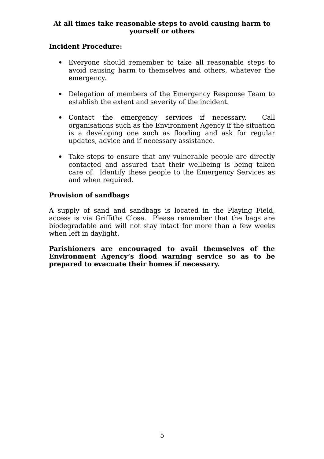## **Incident Procedure:**

- Everyone should remember to take all reasonable steps to avoid causing harm to themselves and others, whatever the emergency.
- Delegation of members of the Emergency Response Team to establish the extent and severity of the incident.
- Contact the emergency services if necessary. Call organisations such as the Environment Agency if the situation is a developing one such as flooding and ask for regular updates, advice and if necessary assistance.
- Take steps to ensure that any vulnerable people are directly contacted and assured that their wellbeing is being taken care of. Identify these people to the Emergency Services as and when required.

#### **Provision of sandbags**

A supply of sand and sandbags is located in the Playing Field, access is via Griffiths Close. Please remember that the bags are biodegradable and will not stay intact for more than a few weeks when left in daylight.

**Parishioners are encouraged to avail themselves of the Environment Agency's flood warning service so as to be prepared to evacuate their homes if necessary.**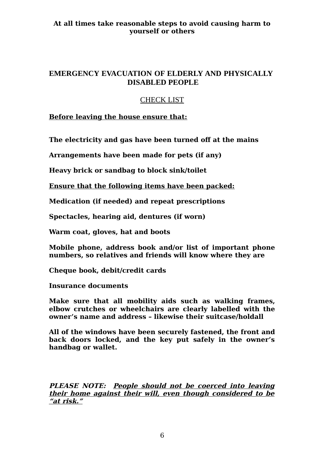# **EMERGENCY EVACUATION OF ELDERLY AND PHYSICALLY DISABLED PEOPLE**

# CHECK LIST

**Before leaving the house ensure that:**

**The electricity and gas have been turned off at the mains**

**Arrangements have been made for pets (if any)**

**Heavy brick or sandbag to block sink/toilet**

**Ensure that the following items have been packed:**

**Medication (if needed) and repeat prescriptions**

**Spectacles, hearing aid, dentures (if worn)**

**Warm coat, gloves, hat and boots**

**Mobile phone, address book and/or list of important phone numbers, so relatives and friends will know where they are**

**Cheque book, debit/credit cards**

**Insurance documents**

**Make sure that all mobility aids such as walking frames, elbow crutches or wheelchairs are clearly labelled with the owner's name and address – likewise their suitcase/holdall**

**All of the windows have been securely fastened, the front and back doors locked, and the key put safely in the owner's handbag or wallet.**

**PLEASE NOTE: People should not be coerced into leaving their home against their will, even though considered to be "at risk."**